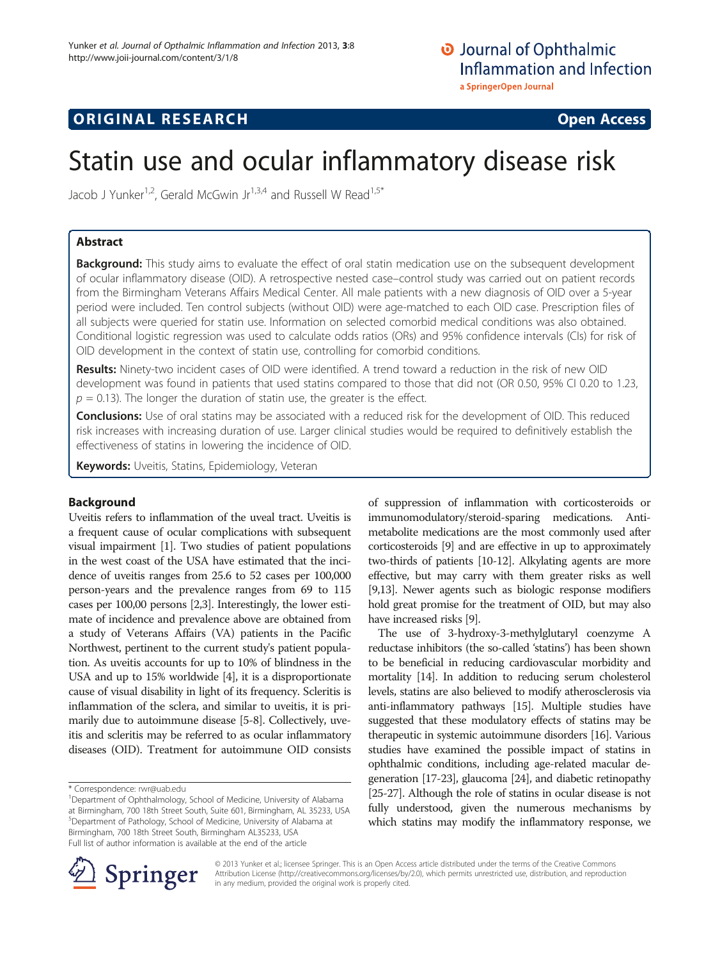# **ORIGINAL RESEARCH CONSUMING ACCESS**

# Statin use and ocular inflammatory disease risk

Jacob J Yunker<sup>1,2</sup>, Gerald McGwin Jr<sup>1,3,4</sup> and Russell W Read<sup>1,5\*</sup>

# Abstract

Background: This study aims to evaluate the effect of oral statin medication use on the subsequent development of ocular inflammatory disease (OID). A retrospective nested case–control study was carried out on patient records from the Birmingham Veterans Affairs Medical Center. All male patients with a new diagnosis of OID over a 5-year period were included. Ten control subjects (without OID) were age-matched to each OID case. Prescription files of all subjects were queried for statin use. Information on selected comorbid medical conditions was also obtained. Conditional logistic regression was used to calculate odds ratios (ORs) and 95% confidence intervals (CIs) for risk of OID development in the context of statin use, controlling for comorbid conditions.

Results: Ninety-two incident cases of OID were identified. A trend toward a reduction in the risk of new OID development was found in patients that used statins compared to those that did not (OR 0.50, 95% CI 0.20 to 1.23,  $p = 0.13$ ). The longer the duration of statin use, the greater is the effect.

**Conclusions:** Use of oral statins may be associated with a reduced risk for the development of OID. This reduced risk increases with increasing duration of use. Larger clinical studies would be required to definitively establish the effectiveness of statins in lowering the incidence of OID.

Keywords: Uveitis, Statins, Epidemiology, Veteran

# Background

Uveitis refers to inflammation of the uveal tract. Uveitis is a frequent cause of ocular complications with subsequent visual impairment [[1](#page-4-0)]. Two studies of patient populations in the west coast of the USA have estimated that the incidence of uveitis ranges from 25.6 to 52 cases per 100,000 person-years and the prevalence ranges from 69 to 115 cases per 100,00 persons [\[2,3\]](#page-4-0). Interestingly, the lower estimate of incidence and prevalence above are obtained from a study of Veterans Affairs (VA) patients in the Pacific Northwest, pertinent to the current study's patient population. As uveitis accounts for up to 10% of blindness in the USA and up to 15% worldwide [\[4\]](#page-4-0), it is a disproportionate cause of visual disability in light of its frequency. Scleritis is inflammation of the sclera, and similar to uveitis, it is primarily due to autoimmune disease [\[5-8](#page-4-0)]. Collectively, uveitis and scleritis may be referred to as ocular inflammatory diseases (OID). Treatment for autoimmune OID consists

of suppression of inflammation with corticosteroids or immunomodulatory/steroid-sparing medications. Antimetabolite medications are the most commonly used after corticosteroids [\[9](#page-4-0)] and are effective in up to approximately two-thirds of patients [\[10-12\]](#page-4-0). Alkylating agents are more effective, but may carry with them greater risks as well [[9,13\]](#page-4-0). Newer agents such as biologic response modifiers hold great promise for the treatment of OID, but may also have increased risks [\[9\]](#page-4-0).

The use of 3-hydroxy-3-methylglutaryl coenzyme A reductase inhibitors (the so-called 'statins') has been shown to be beneficial in reducing cardiovascular morbidity and mortality [[14](#page-5-0)]. In addition to reducing serum cholesterol levels, statins are also believed to modify atherosclerosis via anti-inflammatory pathways [\[15\]](#page-5-0). Multiple studies have suggested that these modulatory effects of statins may be therapeutic in systemic autoimmune disorders [[16](#page-5-0)]. Various studies have examined the possible impact of statins in ophthalmic conditions, including age-related macular degeneration [\[17-23](#page-5-0)], glaucoma [[24](#page-5-0)], and diabetic retinopathy [[25](#page-5-0)-[27\]](#page-5-0). Although the role of statins in ocular disease is not fully understood, given the numerous mechanisms by which statins may modify the inflammatory response, we



© 2013 Yunker et al.; licensee Springer. This is an Open Access article distributed under the terms of the Creative Commons Attribution License [\(http://creativecommons.org/licenses/by/2.0\)](http://creativecommons.org/licenses/by/2.0), which permits unrestricted use, distribution, and reproduction in any medium, provided the original work is properly cited.

<sup>\*</sup> Correspondence: [rwr@uab.edu](mailto:rwr@uab.edu) <sup>1</sup>

<sup>&</sup>lt;sup>1</sup>Department of Ophthalmology, School of Medicine, University of Alabama at Birmingham, 700 18th Street South, Suite 601, Birmingham, AL 35233, USA 5 Department of Pathology, School of Medicine, University of Alabama at Birmingham, 700 18th Street South, Birmingham AL35233, USA Full list of author information is available at the end of the article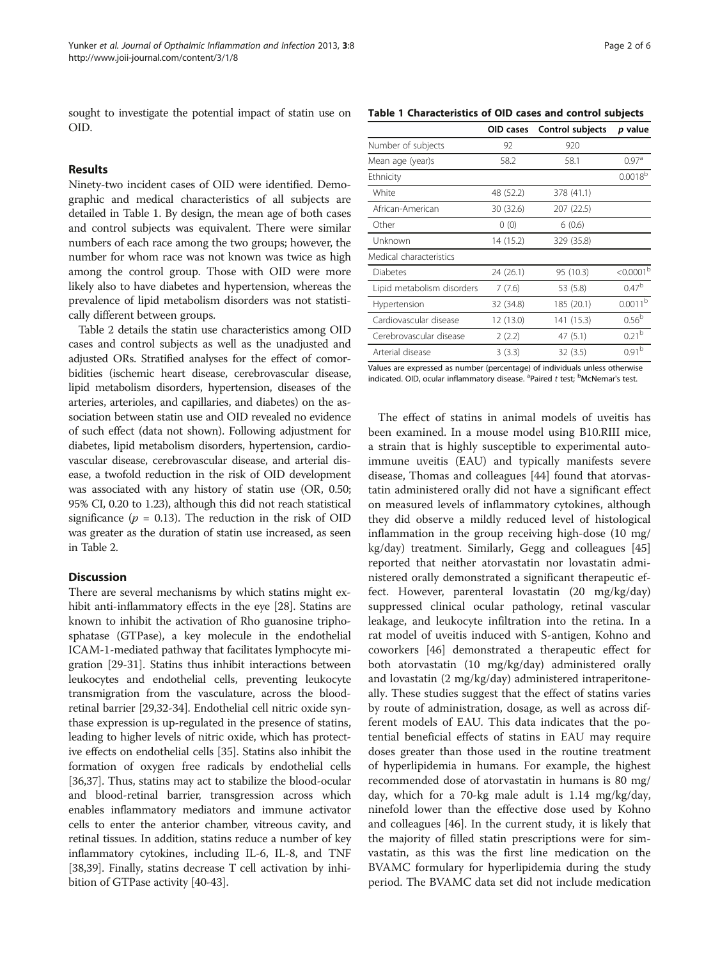sought to investigate the potential impact of statin use on OID.

# Results

Ninety-two incident cases of OID were identified. Demographic and medical characteristics of all subjects are detailed in Table 1. By design, the mean age of both cases and control subjects was equivalent. There were similar numbers of each race among the two groups; however, the number for whom race was not known was twice as high among the control group. Those with OID were more likely also to have diabetes and hypertension, whereas the prevalence of lipid metabolism disorders was not statistically different between groups.

Table [2](#page-2-0) details the statin use characteristics among OID cases and control subjects as well as the unadjusted and adjusted ORs. Stratified analyses for the effect of comorbidities (ischemic heart disease, cerebrovascular disease, lipid metabolism disorders, hypertension, diseases of the arteries, arterioles, and capillaries, and diabetes) on the association between statin use and OID revealed no evidence of such effect (data not shown). Following adjustment for diabetes, lipid metabolism disorders, hypertension, cardiovascular disease, cerebrovascular disease, and arterial disease, a twofold reduction in the risk of OID development was associated with any history of statin use (OR, 0.50; 95% CI, 0.20 to 1.23), although this did not reach statistical significance ( $p = 0.13$ ). The reduction in the risk of OID was greater as the duration of statin use increased, as seen in Table [2.](#page-2-0)

# **Discussion**

There are several mechanisms by which statins might exhibit anti-inflammatory effects in the eye [[28](#page-5-0)]. Statins are known to inhibit the activation of Rho guanosine triphosphatase (GTPase), a key molecule in the endothelial ICAM-1-mediated pathway that facilitates lymphocyte migration [\[29-31\]](#page-5-0). Statins thus inhibit interactions between leukocytes and endothelial cells, preventing leukocyte transmigration from the vasculature, across the bloodretinal barrier [\[29,32](#page-5-0)-[34](#page-5-0)]. Endothelial cell nitric oxide synthase expression is up-regulated in the presence of statins, leading to higher levels of nitric oxide, which has protective effects on endothelial cells [[35](#page-5-0)]. Statins also inhibit the formation of oxygen free radicals by endothelial cells [[36,37](#page-5-0)]. Thus, statins may act to stabilize the blood-ocular and blood-retinal barrier, transgression across which enables inflammatory mediators and immune activator cells to enter the anterior chamber, vitreous cavity, and retinal tissues. In addition, statins reduce a number of key inflammatory cytokines, including IL-6, IL-8, and TNF [[38,39](#page-5-0)]. Finally, statins decrease T cell activation by inhibition of GTPase activity [\[40-43\]](#page-5-0).

# Table 1 Characteristics of OID cases and control subjects

|                            | OID cases | Control subjects | p value            |
|----------------------------|-----------|------------------|--------------------|
| Number of subjects         | 92        | 920              |                    |
| Mean age (year)s           | 58.2      | 58.1             | 0.97 <sup>a</sup>  |
| Ethnicity                  |           |                  | $0.0018^{b}$       |
| White                      | 48 (52.2) | 378 (41.1)       |                    |
| African-American           | 30 (32.6) | 207 (22.5)       |                    |
| Other                      | 0(0)      | 6(0.6)           |                    |
| Unknown                    | 14 (15.2) | 329 (35.8)       |                    |
| Medical characteristics    |           |                  |                    |
| <b>Diabetes</b>            | 24(26.1)  | 95 (10.3)        | $< 0.0001^{\rm b}$ |
| Lipid metabolism disorders | 7(7.6)    | 53 (5.8)         | 0.47 <sup>b</sup>  |
| Hypertension               | 32 (34.8) | 185 (20.1)       | $0.0011^{b}$       |
| Cardiovascular disease     | 12 (13.0) | 141 (15.3)       | $0.56^{\rm b}$     |
| Cerebrovascular disease    | 2(2.2)    | 47 (5.1)         | 0.21 <sup>b</sup>  |
| Arterial disease           | 3(3.3)    | 32(3.5)          | 0.91 <sup>b</sup>  |

Values are expressed as number (percentage) of individuals unless otherwise indicated. OID, ocular inflammatory disease. <sup>a</sup>Paired t test; <sup>b</sup>McNemar's test.

The effect of statins in animal models of uveitis has been examined. In a mouse model using B10.RIII mice, a strain that is highly susceptible to experimental autoimmune uveitis (EAU) and typically manifests severe disease, Thomas and colleagues [\[44\]](#page-5-0) found that atorvastatin administered orally did not have a significant effect on measured levels of inflammatory cytokines, although they did observe a mildly reduced level of histological inflammation in the group receiving high-dose (10 mg/ kg/day) treatment. Similarly, Gegg and colleagues [[45](#page-5-0)] reported that neither atorvastatin nor lovastatin administered orally demonstrated a significant therapeutic effect. However, parenteral lovastatin (20 mg/kg/day) suppressed clinical ocular pathology, retinal vascular leakage, and leukocyte infiltration into the retina. In a rat model of uveitis induced with S-antigen, Kohno and coworkers [[46\]](#page-5-0) demonstrated a therapeutic effect for both atorvastatin (10 mg/kg/day) administered orally and lovastatin (2 mg/kg/day) administered intraperitoneally. These studies suggest that the effect of statins varies by route of administration, dosage, as well as across different models of EAU. This data indicates that the potential beneficial effects of statins in EAU may require doses greater than those used in the routine treatment of hyperlipidemia in humans. For example, the highest recommended dose of atorvastatin in humans is 80 mg/ day, which for a 70-kg male adult is 1.14 mg/kg/day, ninefold lower than the effective dose used by Kohno and colleagues [\[46](#page-5-0)]. In the current study, it is likely that the majority of filled statin prescriptions were for simvastatin, as this was the first line medication on the BVAMC formulary for hyperlipidemia during the study period. The BVAMC data set did not include medication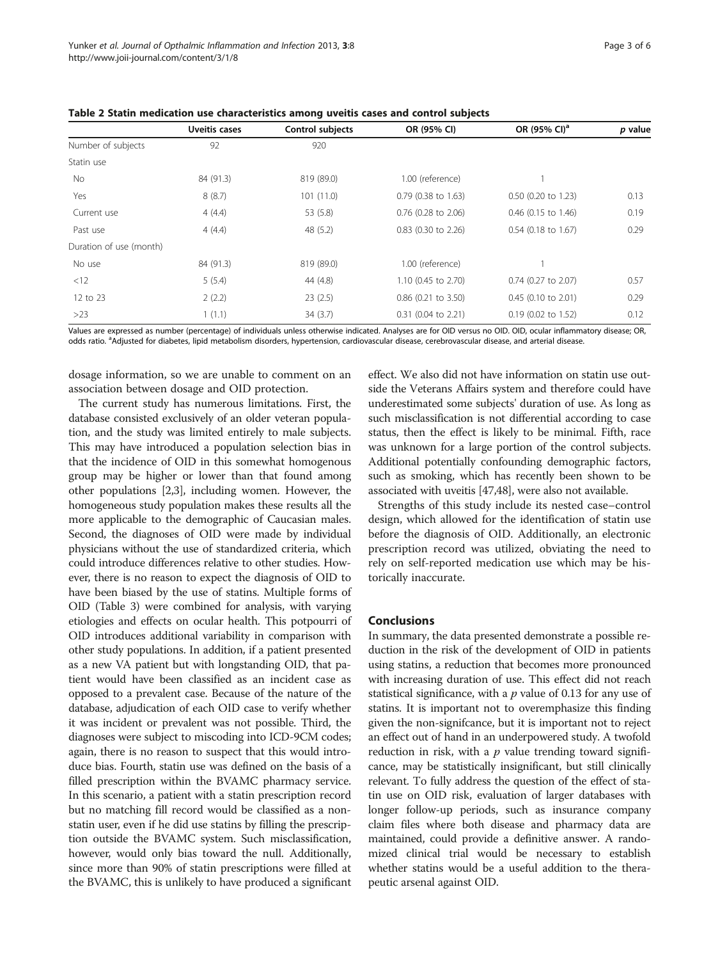| <b>Uveitis cases</b> | Control subjects | OR (95% CI)           | OR (95% CI) <sup>a</sup> | p value |
|----------------------|------------------|-----------------------|--------------------------|---------|
| 92                   | 920              |                       |                          |         |
|                      |                  |                       |                          |         |
| 84 (91.3)            | 819 (89.0)       | 1.00 (reference)      |                          |         |
| 8(8.7)               | 101(11.0)        | 0.79 (0.38 to 1.63)   | 0.50 (0.20 to 1.23)      | 0.13    |
| 4(4.4)               | 53 (5.8)         | 0.76 (0.28 to 2.06)   | $0.46$ (0.15 to 1.46)    | 0.19    |
| 4(4.4)               | 48 (5.2)         | $0.83$ (0.30 to 2.26) | $0.54$ (0.18 to 1.67)    | 0.29    |
|                      |                  |                       |                          |         |
| 84 (91.3)            | 819 (89.0)       | 1.00 (reference)      |                          |         |
| 5(5.4)               | 44 (4.8)         | 1.10 (0.45 to 2.70)   | 0.74 (0.27 to 2.07)      | 0.57    |
| 2(2.2)               | 23(2.5)          | $0.86$ (0.21 to 3.50) | $0.45$ (0.10 to 2.01)    | 0.29    |
| 1(1.1)               | 34(3.7)          | $0.31$ (0.04 to 2.21) | 0.19 (0.02 to 1.52)      | 0.12    |
|                      |                  |                       |                          |         |

<span id="page-2-0"></span>Table 2 Statin medication use characteristics among uveitis cases and control subjects

Values are expressed as number (percentage) of individuals unless otherwise indicated. Analyses are for OID versus no OID. OID, ocular inflammatory disease; OR, odds ratio. <sup>a</sup>Adjusted for diabetes, lipid metabolism disorders, hypertension, cardiovascular disease, cerebrovascular disease, and arterial disease.

dosage information, so we are unable to comment on an association between dosage and OID protection.

The current study has numerous limitations. First, the database consisted exclusively of an older veteran population, and the study was limited entirely to male subjects. This may have introduced a population selection bias in that the incidence of OID in this somewhat homogenous group may be higher or lower than that found among other populations [[2,3](#page-4-0)], including women. However, the homogeneous study population makes these results all the more applicable to the demographic of Caucasian males. Second, the diagnoses of OID were made by individual physicians without the use of standardized criteria, which could introduce differences relative to other studies. However, there is no reason to expect the diagnosis of OID to have been biased by the use of statins. Multiple forms of OID (Table [3\)](#page-3-0) were combined for analysis, with varying etiologies and effects on ocular health. This potpourri of OID introduces additional variability in comparison with other study populations. In addition, if a patient presented as a new VA patient but with longstanding OID, that patient would have been classified as an incident case as opposed to a prevalent case. Because of the nature of the database, adjudication of each OID case to verify whether it was incident or prevalent was not possible. Third, the diagnoses were subject to miscoding into ICD-9CM codes; again, there is no reason to suspect that this would introduce bias. Fourth, statin use was defined on the basis of a filled prescription within the BVAMC pharmacy service. In this scenario, a patient with a statin prescription record but no matching fill record would be classified as a nonstatin user, even if he did use statins by filling the prescription outside the BVAMC system. Such misclassification, however, would only bias toward the null. Additionally, since more than 90% of statin prescriptions were filled at the BVAMC, this is unlikely to have produced a significant

effect. We also did not have information on statin use outside the Veterans Affairs system and therefore could have underestimated some subjects' duration of use. As long as such misclassification is not differential according to case status, then the effect is likely to be minimal. Fifth, race was unknown for a large portion of the control subjects. Additional potentially confounding demographic factors, such as smoking, which has recently been shown to be associated with uveitis [\[47,48](#page-5-0)], were also not available.

Strengths of this study include its nested case–control design, which allowed for the identification of statin use before the diagnosis of OID. Additionally, an electronic prescription record was utilized, obviating the need to rely on self-reported medication use which may be historically inaccurate.

# Conclusions

In summary, the data presented demonstrate a possible reduction in the risk of the development of OID in patients using statins, a reduction that becomes more pronounced with increasing duration of use. This effect did not reach statistical significance, with a  $p$  value of 0.13 for any use of statins. It is important not to overemphasize this finding given the non-signifcance, but it is important not to reject an effect out of hand in an underpowered study. A twofold reduction in risk, with a  $p$  value trending toward significance, may be statistically insignificant, but still clinically relevant. To fully address the question of the effect of statin use on OID risk, evaluation of larger databases with longer follow-up periods, such as insurance company claim files where both disease and pharmacy data are maintained, could provide a definitive answer. A randomized clinical trial would be necessary to establish whether statins would be a useful addition to the therapeutic arsenal against OID.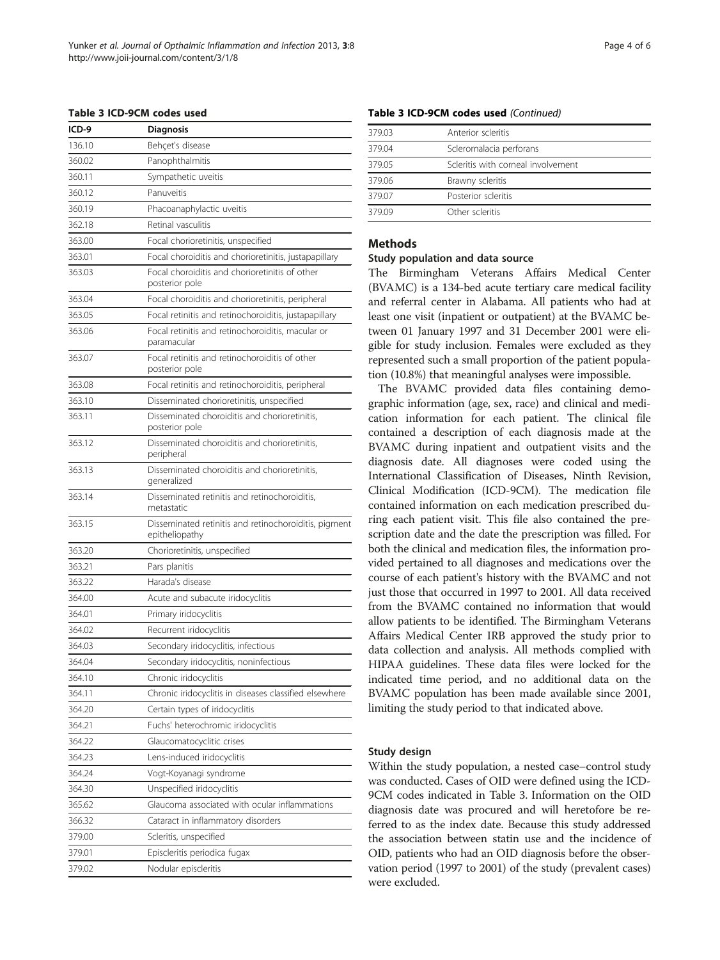## <span id="page-3-0"></span>Table 3 ICD-9CM codes used

| ICD-9  | <b>Diagnosis</b>                                                        |
|--------|-------------------------------------------------------------------------|
| 136.10 | Behçet's disease                                                        |
| 360.02 | Panophthalmitis                                                         |
| 360.11 | Sympathetic uveitis                                                     |
| 360.12 | Panuveitis                                                              |
| 360.19 | Phacoanaphylactic uveitis                                               |
| 362.18 | Retinal vasculitis                                                      |
| 363.00 | Focal chorioretinitis, unspecified                                      |
| 363.01 | Focal choroiditis and chorioretinitis, justapapillary                   |
| 363.03 | Focal choroiditis and chorioretinitis of other<br>posterior pole        |
| 363.04 | Focal choroiditis and chorioretinitis, peripheral                       |
| 363.05 | Focal retinitis and retinochoroiditis, justapapillary                   |
| 363.06 | Focal retinitis and retinochoroiditis, macular or<br>paramacular        |
| 363.07 | Focal retinitis and retinochoroiditis of other<br>posterior pole        |
| 363.08 | Focal retinitis and retinochoroiditis, peripheral                       |
| 363.10 | Disseminated chorioretinitis, unspecified                               |
| 363.11 | Disseminated choroiditis and chorioretinitis,<br>posterior pole         |
| 363.12 | Disseminated choroiditis and chorioretinitis,<br>peripheral             |
| 363.13 | Disseminated choroiditis and chorioretinitis,<br>generalized            |
| 363.14 | Disseminated retinitis and retinochoroiditis,<br>metastatic             |
| 363.15 | Disseminated retinitis and retinochoroiditis, pigment<br>epitheliopathy |
| 363.20 | Chorioretinitis, unspecified                                            |
| 363.21 | Pars planitis                                                           |
| 363.22 | Harada's disease                                                        |
| 364.00 | Acute and subacute iridocyclitis                                        |
| 364.01 | Primary iridocyclitis                                                   |
| 364.02 | Recurrent iridocyclitis                                                 |
| 364.03 | Secondary iridocyclitis, infectious                                     |
| 364.04 | Secondary iridocyclitis, noninfectious                                  |
| 364.10 | Chronic iridocyclitis                                                   |
| 364.11 | Chronic iridocyclitis in diseases classified elsewhere                  |
| 364.20 | Certain types of iridocyclitis                                          |
| 364.21 | Fuchs' heterochromic iridocyclitis                                      |
| 364.22 | Glaucomatocyclitic crises                                               |
| 364.23 | Lens-induced iridocyclitis                                              |
| 364.24 | Vogt-Koyanagi syndrome                                                  |
| 364.30 | Unspecified iridocyclitis                                               |
| 365.62 | Glaucoma associated with ocular inflammations                           |
| 366.32 | Cataract in inflammatory disorders                                      |
| 379.00 | Scleritis, unspecified                                                  |
| 379.01 | Episcleritis periodica fugax                                            |
| 379.02 | Nodular episcleritis                                                    |

| Anterior scleritis                 |
|------------------------------------|
| Scleromalacia perforans            |
| Scleritis with corneal involvement |
| Brawny scleritis                   |
| Posterior scleritis                |
| Other scleritis                    |
|                                    |

# **Methods**

## Study population and data source

The Birmingham Veterans Affairs Medical Center (BVAMC) is a 134-bed acute tertiary care medical facility and referral center in Alabama. All patients who had at least one visit (inpatient or outpatient) at the BVAMC between 01 January 1997 and 31 December 2001 were eligible for study inclusion. Females were excluded as they represented such a small proportion of the patient population (10.8%) that meaningful analyses were impossible.

The BVAMC provided data files containing demographic information (age, sex, race) and clinical and medication information for each patient. The clinical file contained a description of each diagnosis made at the BVAMC during inpatient and outpatient visits and the diagnosis date. All diagnoses were coded using the International Classification of Diseases, Ninth Revision, Clinical Modification (ICD-9CM). The medication file contained information on each medication prescribed during each patient visit. This file also contained the prescription date and the date the prescription was filled. For both the clinical and medication files, the information provided pertained to all diagnoses and medications over the course of each patient's history with the BVAMC and not just those that occurred in 1997 to 2001. All data received from the BVAMC contained no information that would allow patients to be identified. The Birmingham Veterans Affairs Medical Center IRB approved the study prior to data collection and analysis. All methods complied with HIPAA guidelines. These data files were locked for the indicated time period, and no additional data on the BVAMC population has been made available since 2001, limiting the study period to that indicated above.

## Study design

Within the study population, a nested case–control study was conducted. Cases of OID were defined using the ICD-9CM codes indicated in Table 3. Information on the OID diagnosis date was procured and will heretofore be referred to as the index date. Because this study addressed the association between statin use and the incidence of OID, patients who had an OID diagnosis before the observation period (1997 to 2001) of the study (prevalent cases) were excluded.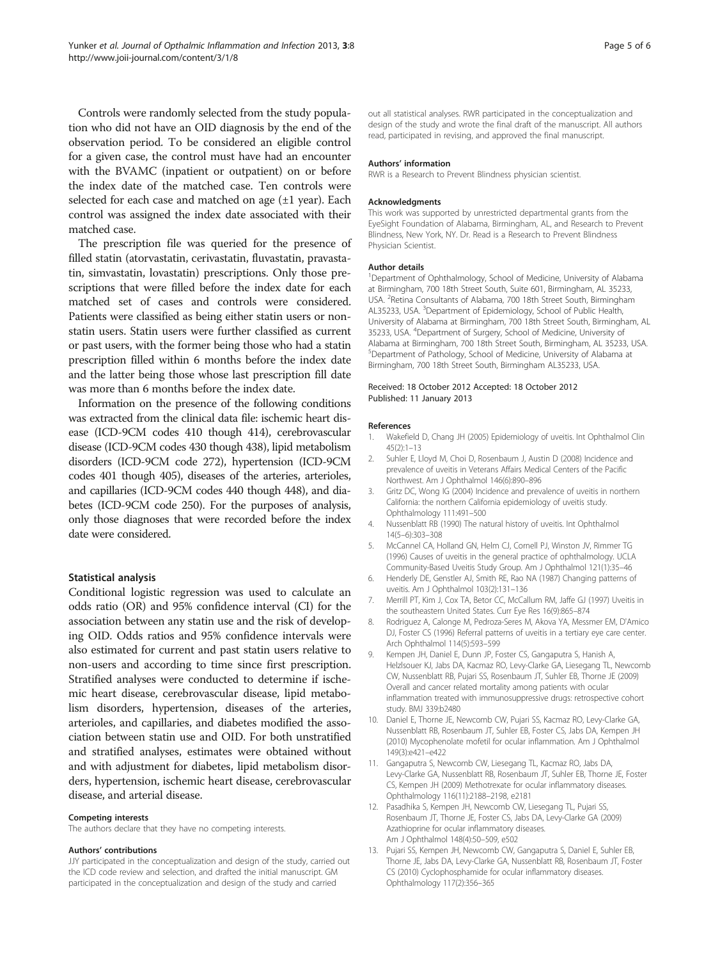<span id="page-4-0"></span>Controls were randomly selected from the study population who did not have an OID diagnosis by the end of the observation period. To be considered an eligible control for a given case, the control must have had an encounter with the BVAMC (inpatient or outpatient) on or before the index date of the matched case. Ten controls were selected for each case and matched on age  $(\pm 1 \text{ year})$ . Each control was assigned the index date associated with their matched case.

The prescription file was queried for the presence of filled statin (atorvastatin, cerivastatin, fluvastatin, pravastatin, simvastatin, lovastatin) prescriptions. Only those prescriptions that were filled before the index date for each matched set of cases and controls were considered. Patients were classified as being either statin users or nonstatin users. Statin users were further classified as current or past users, with the former being those who had a statin prescription filled within 6 months before the index date and the latter being those whose last prescription fill date was more than 6 months before the index date.

Information on the presence of the following conditions was extracted from the clinical data file: ischemic heart disease (ICD-9CM codes 410 though 414), cerebrovascular disease (ICD-9CM codes 430 though 438), lipid metabolism disorders (ICD-9CM code 272), hypertension (ICD-9CM codes 401 though 405), diseases of the arteries, arterioles, and capillaries (ICD-9CM codes 440 though 448), and diabetes (ICD-9CM code 250). For the purposes of analysis, only those diagnoses that were recorded before the index date were considered.

# Statistical analysis

Conditional logistic regression was used to calculate an odds ratio (OR) and 95% confidence interval (CI) for the association between any statin use and the risk of developing OID. Odds ratios and 95% confidence intervals were also estimated for current and past statin users relative to non-users and according to time since first prescription. Stratified analyses were conducted to determine if ischemic heart disease, cerebrovascular disease, lipid metabolism disorders, hypertension, diseases of the arteries, arterioles, and capillaries, and diabetes modified the association between statin use and OID. For both unstratified and stratified analyses, estimates were obtained without and with adjustment for diabetes, lipid metabolism disorders, hypertension, ischemic heart disease, cerebrovascular disease, and arterial disease.

#### Competing interests

The authors declare that they have no competing interests.

#### Authors' contributions

JJY participated in the conceptualization and design of the study, carried out the ICD code review and selection, and drafted the initial manuscript. GM participated in the conceptualization and design of the study and carried

out all statistical analyses. RWR participated in the conceptualization and design of the study and wrote the final draft of the manuscript. All authors read, participated in revising, and approved the final manuscript.

#### Authors' information

RWR is a Research to Prevent Blindness physician scientist.

#### **Acknowledaments**

This work was supported by unrestricted departmental grants from the EyeSight Foundation of Alabama, Birmingham, AL, and Research to Prevent Blindness, New York, NY. Dr. Read is a Research to Prevent Blindness Physician Scientist.

#### Author details

<sup>1</sup>Department of Ophthalmology, School of Medicine, University of Alabama at Birmingham, 700 18th Street South, Suite 601, Birmingham, AL 35233, USA. <sup>2</sup> Retina Consultants of Alabama, 700 18th Street South, Birmingham AL35233, USA. <sup>3</sup>Department of Epidemiology, School of Public Health University of Alabama at Birmingham, 700 18th Street South, Birmingham, AL 35233, USA. <sup>4</sup> Department of Surgery, School of Medicine, University of Alabama at Birmingham, 700 18th Street South, Birmingham, AL 35233, USA. 5 Department of Pathology, School of Medicine, University of Alabama at Birmingham, 700 18th Street South, Birmingham AL35233, USA.

#### Received: 18 October 2012 Accepted: 18 October 2012 Published: 11 January 2013

#### References

- 1. Wakefield D, Chang JH (2005) Epidemiology of uveitis. Int Ophthalmol Clin 45(2):1–13
- 2. Suhler E, Lloyd M, Choi D, Rosenbaum J, Austin D (2008) Incidence and prevalence of uveitis in Veterans Affairs Medical Centers of the Pacific Northwest. Am J Ophthalmol 146(6):890–896
- 3. Gritz DC, Wong IG (2004) Incidence and prevalence of uveitis in northern California: the northern California epidemiology of uveitis study. Ophthalmology 111:491–500
- 4. Nussenblatt RB (1990) The natural history of uveitis. Int Ophthalmol 14(5–6):303–308
- 5. McCannel CA, Holland GN, Helm CJ, Cornell PJ, Winston JV, Rimmer TG (1996) Causes of uveitis in the general practice of ophthalmology. UCLA Community-Based Uveitis Study Group. Am J Ophthalmol 121(1):35–46
- 6. Henderly DE, Genstler AJ, Smith RE, Rao NA (1987) Changing patterns of uveitis. Am J Ophthalmol 103(2):131–136
- 7. Merrill PT, Kim J, Cox TA, Betor CC, McCallum RM, Jaffe GJ (1997) Uveitis in the southeastern United States. Curr Eye Res 16(9):865–874
- 8. Rodriguez A, Calonge M, Pedroza-Seres M, Akova YA, Messmer EM, D'Amico DJ, Foster CS (1996) Referral patterns of uveitis in a tertiary eye care center. Arch Ophthalmol 114(5):593–599
- 9. Kempen JH, Daniel E, Dunn JP, Foster CS, Gangaputra S, Hanish A, Helzlsouer KJ, Jabs DA, Kacmaz RO, Levy-Clarke GA, Liesegang TL, Newcomb CW, Nussenblatt RB, Pujari SS, Rosenbaum JT, Suhler EB, Thorne JE (2009) Overall and cancer related mortality among patients with ocular inflammation treated with immunosuppressive drugs: retrospective cohort study. BMJ 339:b2480
- 10. Daniel E, Thorne JE, Newcomb CW, Pujari SS, Kacmaz RO, Levy-Clarke GA, Nussenblatt RB, Rosenbaum JT, Suhler EB, Foster CS, Jabs DA, Kempen JH (2010) Mycophenolate mofetil for ocular inflammation. Am J Ophthalmol 149(3):e421–e422
- 11. Gangaputra S, Newcomb CW, Liesegang TL, Kacmaz RO, Jabs DA, Levy-Clarke GA, Nussenblatt RB, Rosenbaum JT, Suhler EB, Thorne JE, Foster CS, Kempen JH (2009) Methotrexate for ocular inflammatory diseases. Ophthalmology 116(11):2188–2198, e2181
- 12. Pasadhika S, Kempen JH, Newcomb CW, Liesegang TL, Pujari SS, Rosenbaum JT, Thorne JE, Foster CS, Jabs DA, Levy-Clarke GA (2009) Azathioprine for ocular inflammatory diseases. Am J Ophthalmol 148(4):50–509, e502
- 13. Pujari SS, Kempen JH, Newcomb CW, Gangaputra S, Daniel E, Suhler EB, Thorne JE, Jabs DA, Levy-Clarke GA, Nussenblatt RB, Rosenbaum JT, Foster CS (2010) Cyclophosphamide for ocular inflammatory diseases. Ophthalmology 117(2):356–365